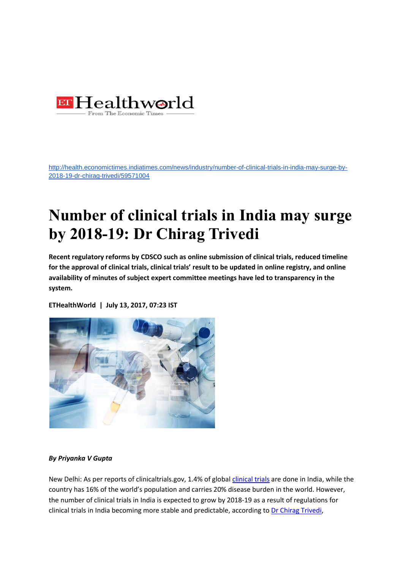

[http://health.economictimes.indiatimes.com/news/industry/number-of-clinical-trials-in-india-may-surge-by-](http://health.economictimes.indiatimes.com/news/industry/number-of-clinical-trials-in-india-may-surge-by-2018-19-dr-chirag-trivedi/59571004)[2018-19-dr-chirag-trivedi/59571004](http://health.economictimes.indiatimes.com/news/industry/number-of-clinical-trials-in-india-may-surge-by-2018-19-dr-chirag-trivedi/59571004)

## **Number of clinical trials in India may surge by 2018-19: Dr Chirag Trivedi**

**Recent regulatory reforms by CDSCO such as online submission of clinical trials, reduced timeline for the approval of clinical trials, clinical trials' result to be updated in online registry, and online availability of minutes of subject expert committee meetings have led to transparency in the system.**

**ETHealthWorld | July 13, 2017, 07:23 IST**



## *By Priyanka V Gupta*

New Delhi: As per reports of clinicaltrials.gov, 1.4% of global *clinical trials* are done in India, while the country has 16% of the world's population and carries 20% disease burden in the world. However, the number of clinical trials in India is expected to grow by 2018-19 as a result of regulations for clinical trials in India becoming more stable and predictable, according t[o Dr Chirag Trivedi,](http://health.economictimes.indiatimes.com/tag/dr+chirag+trivedi)